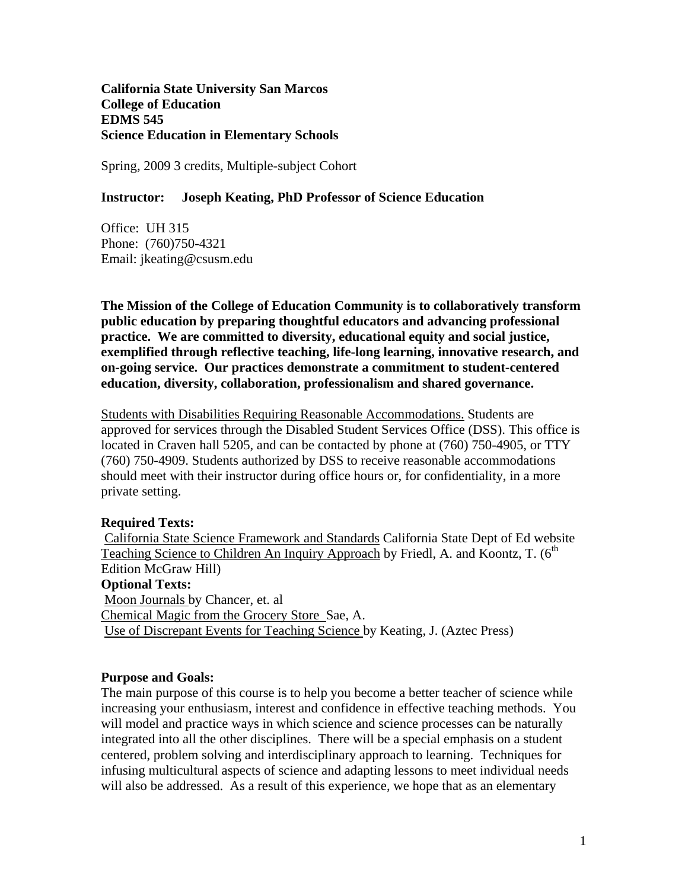**California State University San Marcos College of Education EDMS 545 Science Education in Elementary Schools** 

Spring, 2009 3 credits, Multiple-subject Cohort

#### **Instructor: Joseph Keating, PhD Professor of Science Education**

Office: UH 315 Phone: (760)750-4321 Email: jkeating@csusm.edu

**The Mission of the College of Education Community is to collaboratively transform public education by preparing thoughtful educators and advancing professional practice. We are committed to diversity, educational equity and social justice, exemplified through reflective teaching, life-long learning, innovative research, and on-going service. Our practices demonstrate a commitment to student-centered education, diversity, collaboration, professionalism and shared governance.** 

Students with Disabilities Requiring Reasonable Accommodations. Students are approved for services through the Disabled Student Services Office (DSS). This office is located in Craven hall 5205, and can be contacted by phone at (760) 750-4905, or TTY (760) 750-4909. Students authorized by DSS to receive reasonable accommodations should meet with their instructor during office hours or, for confidentiality, in a more private setting.

#### **Required Texts:**

 California State Science Framework and Standards California State Dept of Ed website Teaching Science to Children An Inquiry Approach by Friedl, A. and Koontz, T. (6<sup>th</sup>) Edition McGraw Hill) **Optional Texts:** Moon Journals by Chancer, et. al Chemical Magic from the Grocery Store Sae, A. Use of Discrepant Events for Teaching Science by Keating, J. (Aztec Press)

#### **Purpose and Goals:**

The main purpose of this course is to help you become a better teacher of science while increasing your enthusiasm, interest and confidence in effective teaching methods. You will model and practice ways in which science and science processes can be naturally integrated into all the other disciplines. There will be a special emphasis on a student centered, problem solving and interdisciplinary approach to learning. Techniques for infusing multicultural aspects of science and adapting lessons to meet individual needs will also be addressed. As a result of this experience, we hope that as an elementary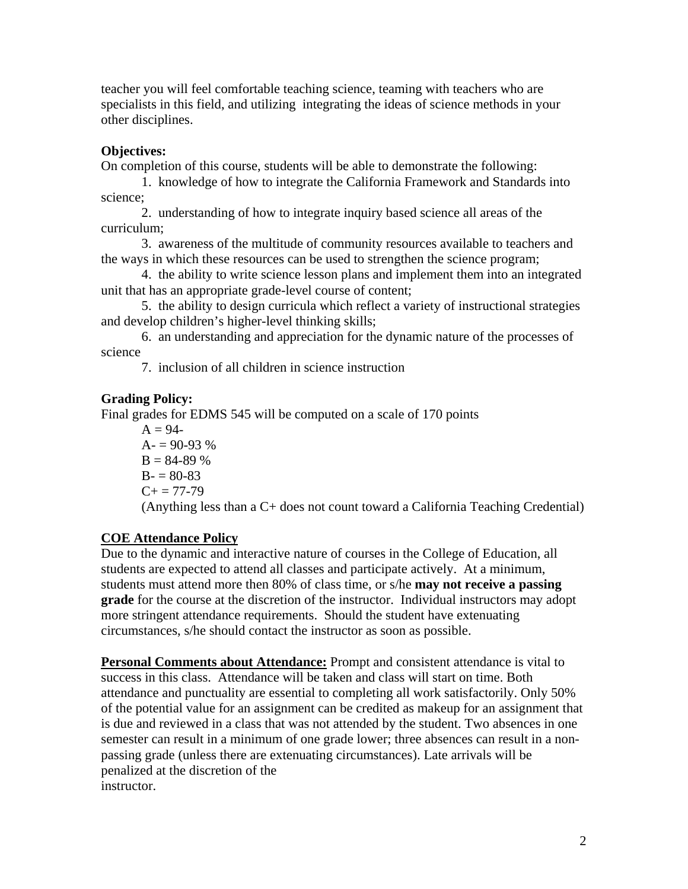teacher you will feel comfortable teaching science, teaming with teachers who are specialists in this field, and utilizing integrating the ideas of science methods in your other disciplines.

# **Objectives:**

On completion of this course, students will be able to demonstrate the following:

1. knowledge of how to integrate the California Framework and Standards into science;

2. understanding of how to integrate inquiry based science all areas of the curriculum;

3. awareness of the multitude of community resources available to teachers and the ways in which these resources can be used to strengthen the science program;

4. the ability to write science lesson plans and implement them into an integrated unit that has an appropriate grade-level course of content;

5. the ability to design curricula which reflect a variety of instructional strategies and develop children's higher-level thinking skills;

6. an understanding and appreciation for the dynamic nature of the processes of science

7. inclusion of all children in science instruction

# **Grading Policy:**

Final grades for EDMS 545 will be computed on a scale of 170 points

 $A = 94 A = 90-93\%$  $B = 84-89\%$  $B - 80 - 83$  $C_{+}$  = 77-79 (Anything less than a C+ does not count toward a California Teaching Credential)

# **COE Attendance Policy**

Due to the dynamic and interactive nature of courses in the College of Education, all students are expected to attend all classes and participate actively. At a minimum, students must attend more then 80% of class time, or s/he **may not receive a passing grade** for the course at the discretion of the instructor. Individual instructors may adopt more stringent attendance requirements. Should the student have extenuating circumstances, s/he should contact the instructor as soon as possible.

**Personal Comments about Attendance:** Prompt and consistent attendance is vital to success in this class. Attendance will be taken and class will start on time. Both attendance and punctuality are essential to completing all work satisfactorily. Only 50% of the potential value for an assignment can be credited as makeup for an assignment that is due and reviewed in a class that was not attended by the student. Two absences in one semester can result in a minimum of one grade lower; three absences can result in a nonpassing grade (unless there are extenuating circumstances). Late arrivals will be penalized at the discretion of the instructor.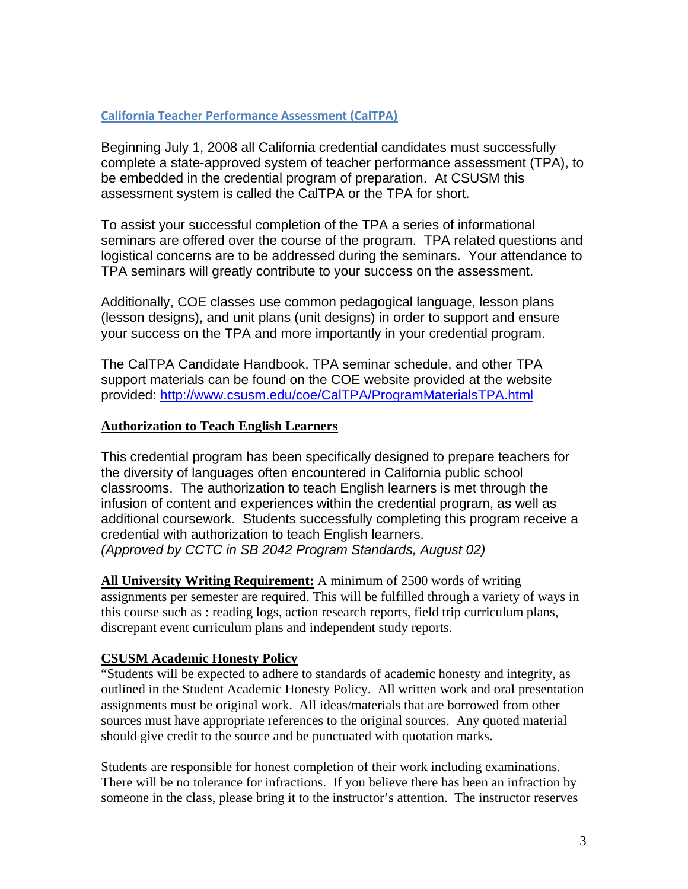#### **California Teacher Performance Assessment (CalTPA)**

Beginning July 1, 2008 all California credential candidates must successfully complete a state-approved system of teacher performance assessment (TPA), to be embedded in the credential program of preparation. At CSUSM this assessment system is called the CalTPA or the TPA for short.

To assist your successful completion of the TPA a series of informational seminars are offered over the course of the program. TPA related questions and logistical concerns are to be addressed during the seminars. Your attendance to TPA seminars will greatly contribute to your success on the assessment.

Additionally, COE classes use common pedagogical language, lesson plans (lesson designs), and unit plans (unit designs) in order to support and ensure your success on the TPA and more importantly in your credential program.

 provided: http://www.csusm.edu/coe/CalTPA/ProgramMaterialsTPA.html The CalTPA Candidate Handbook, TPA seminar schedule, and other TPA support materials can be found on the COE website provided at the website

#### **Authorization to Teach English Learners**

This credential program has been specifically designed to prepare teachers for the diversity of languages often encountered in California public school classrooms. The authorization to teach English learners is met through the infusion of content and experiences within the credential program, as well as additional coursework. Students successfully completing this program receive a credential with authorization to teach English learners. *(Approved by CCTC in SB 2042 Program Standards, August 02)* 

**All University Writing Requirement:** A minimum of 2500 words of writing assignments per semester are required. This will be fulfilled through a variety of ways in this course such as : reading logs, action research reports, field trip curriculum plans, discrepant event curriculum plans and independent study reports.

### **CSUSM Academic Honesty Policy**

"Students will be expected to adhere to standards of academic honesty and integrity, as outlined in the Student Academic Honesty Policy. All written work and oral presentation assignments must be original work. All ideas/materials that are borrowed from other sources must have appropriate references to the original sources. Any quoted material should give credit to the source and be punctuated with quotation marks.

Students are responsible for honest completion of their work including examinations. There will be no tolerance for infractions. If you believe there has been an infraction by someone in the class, please bring it to the instructor's attention. The instructor reserves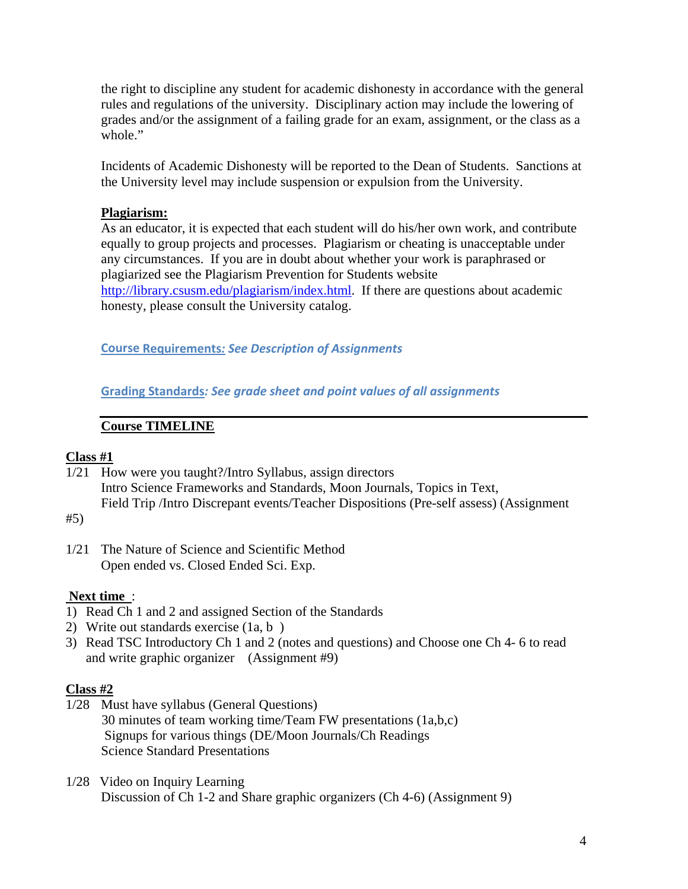the right to discipline any student for academic dishonesty in accordance with the general rules and regulations of the university. Disciplinary action may include the lowering of grades and/or the assignment of a failing grade for an exam, assignment, or the class as a whole."

Incidents of Academic Dishonesty will be reported to the Dean of Students. Sanctions at the University level may include suspension or expulsion from the University.

#### **Plagiarism:**

As an educator, it is expected that each student will do his/her own work, and contribute equally to group projects and processes. Plagiarism or cheating is unacceptable under any circumstances. If you are in doubt about whether your work is paraphrased or plagiarized see the Plagiarism Prevention for Students website http://library.csusm.edu/plagiarism/index.html. If there are questions about academic honesty, please consult the University catalog.

 **Course Requirements***: See Description of Assignments*

 **Grading Standards***: See grade sheet and point values of all assignments*

### **Course TIMELINE**

#### **Class #1**

1/21 How were you taught?/Intro Syllabus, assign directors Intro Science Frameworks and Standards, Moon Journals, Topics in Text, Field Trip /Intro Discrepant events/Teacher Dispositions (Pre-self assess) (Assignment

#5)

1/21 The Nature of Science and Scientific Method Open ended vs. Closed Ended Sci. Exp.

#### **Next time** :

- 1) Read Ch 1 and 2 and assigned Section of the Standards
- 2) Write out standards exercise (1a, b )
- 3) Read TSC Introductory Ch 1 and 2 (notes and questions) and Choose one Ch 4- 6 to read and write graphic organizer (Assignment #9)

#### **Class #2**

- 1/28 Must have syllabus (General Questions) 30 minutes of team working time/Team FW presentations (1a,b,c) Signups for various things (DE/Moon Journals/Ch Readings Science Standard Presentations
- 1/28 Video on Inquiry Learning Discussion of Ch 1-2 and Share graphic organizers (Ch 4-6) (Assignment 9)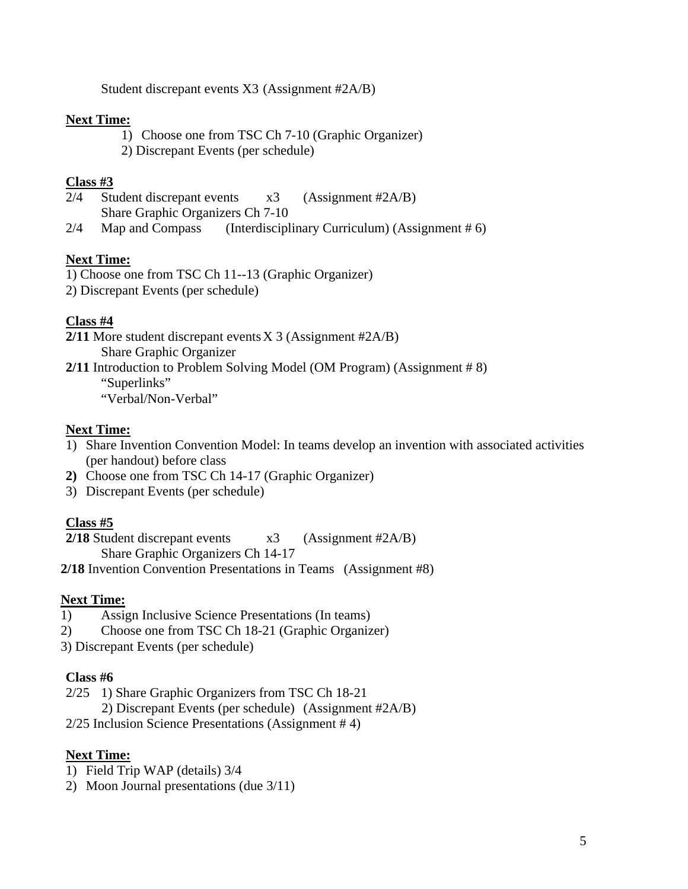Student discrepant events X3 (Assignment #2A/B)

#### **Next Time:**

1) Choose one from TSC Ch 7-10 (Graphic Organizer) 2) Discrepant Events (per schedule)

#### **Class #3**

- 2/4 Student discrepant events x3 (Assignment #2A/B) Share Graphic Organizers Ch 7-10
- 2/4 Map and Compass (Interdisciplinary Curriculum) (Assignment # 6)

### **Next Time:**

1) Choose one from TSC Ch 11--13 (Graphic Organizer)

2) Discrepant Events (per schedule)

### **Class #4**

- **2/11** More student discrepant events X 3 (Assignment #2A/B)
	- Share Graphic Organizer

**2/11** Introduction to Problem Solving Model (OM Program) (Assignment # 8) "Superlinks"

"Verbal/Non-Verbal"

#### **Next Time:**

- 1) Share Invention Convention Model: In teams develop an invention with associated activities (per handout) before class
- **2)** Choose one from TSC Ch 14-17 (Graphic Organizer)
- 3) Discrepant Events (per schedule)

### **Class #5**

**2/18** Student discrepant events x3 (Assignment #2A/B) Share Graphic Organizers Ch 14-17

**2/18** Invention Convention Presentations in Teams (Assignment #8)

#### **Next Time:**

- 1) Assign Inclusive Science Presentations (In teams)
- 2) Choose one from TSC Ch 18-21 (Graphic Organizer)
- 3) Discrepant Events (per schedule)

#### **Class #6**

- 2/25 1) Share Graphic Organizers from TSC Ch 18-21
	- 2) Discrepant Events (per schedule) (Assignment #2A/B)
- 2/25 Inclusion Science Presentations (Assignment # 4)

### **Next Time:**

- 1) Field Trip WAP (details) 3/4
- 2) Moon Journal presentations (due 3/11)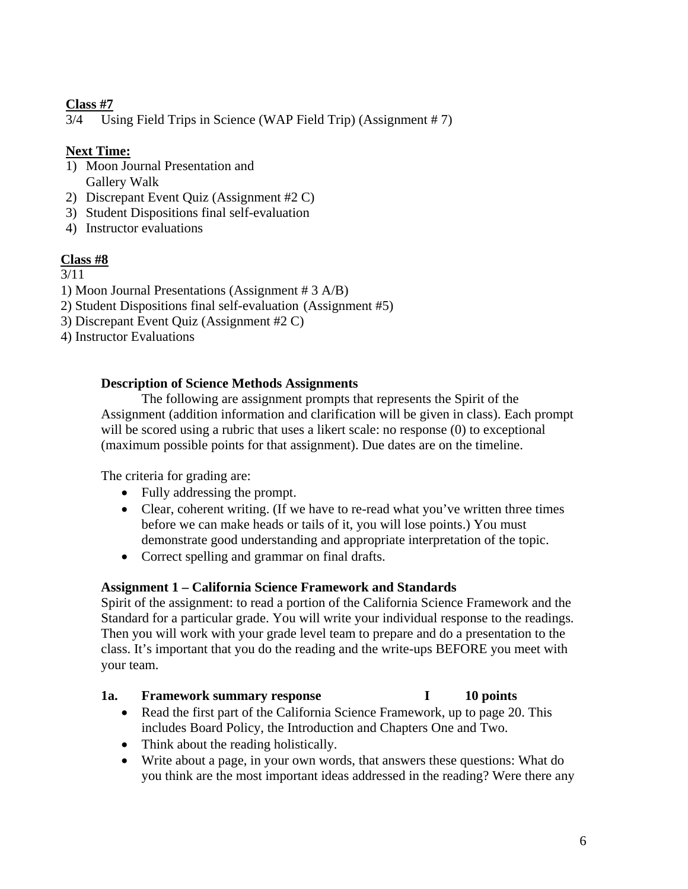# **Class #7**

3/4 Using Field Trips in Science (WAP Field Trip) (Assignment # 7)

# **Next Time:**

- 1) Moon Journal Presentation and Gallery Walk
- 2) Discrepant Event Quiz (Assignment #2 C)
- 3) Student Dispositions final self-evaluation
- 4) Instructor evaluations

# **Class #8**

### 3/11

- 1) Moon Journal Presentations (Assignment # 3 A/B)
- 2) Student Dispositions final self-evaluation (Assignment #5)
- 3) Discrepant Event Quiz (Assignment #2 C)
- 4) Instructor Evaluations

# **Description of Science Methods Assignments**

The following are assignment prompts that represents the Spirit of the Assignment (addition information and clarification will be given in class). Each prompt will be scored using a rubric that uses a likert scale: no response (0) to exceptional (maximum possible points for that assignment). Due dates are on the timeline.

The criteria for grading are:

- Fully addressing the prompt.
- Clear, coherent writing. (If we have to re-read what you've written three times before we can make heads or tails of it, you will lose points.) You must demonstrate good understanding and appropriate interpretation of the topic.
- Correct spelling and grammar on final drafts.

# **Assignment 1 – California Science Framework and Standards**

Spirit of the assignment: to read a portion of the California Science Framework and the Standard for a particular grade. You will write your individual response to the readings. Then you will work with your grade level team to prepare and do a presentation to the class. It's important that you do the reading and the write-ups BEFORE you meet with your team.

### **1a. Framework summary response I 10 points**

- Read the first part of the California Science Framework, up to page 20. This includes Board Policy, the Introduction and Chapters One and Two.
- Think about the reading holistically.
- Write about a page, in your own words, that answers these questions: What do you think are the most important ideas addressed in the reading? Were there any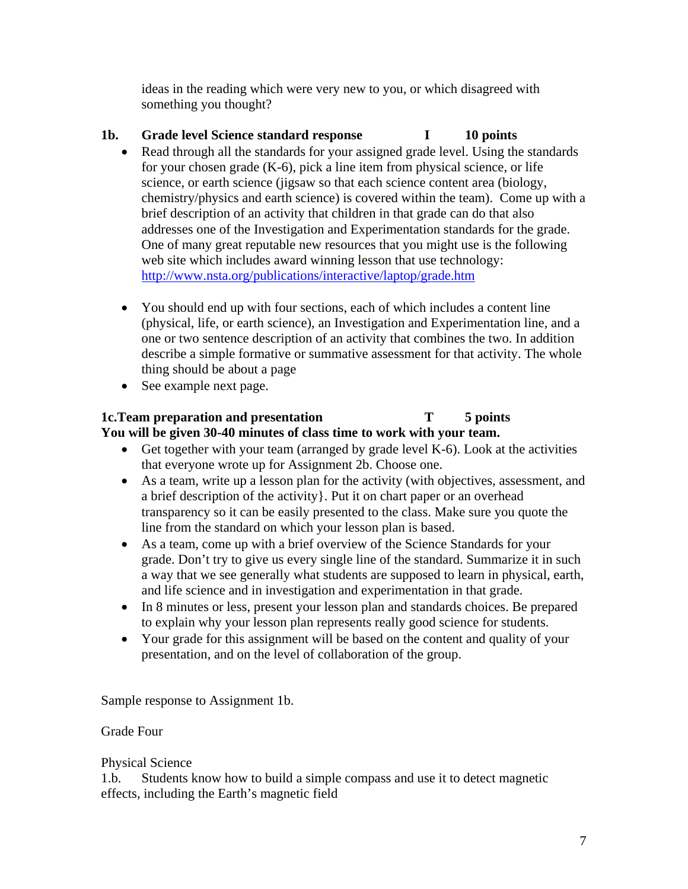ideas in the reading which were very new to you, or which disagreed with something you thought?

# 1b. Grade level Science standard response **I** 10 points

- Read through all the standards for your assigned grade level. Using the standards for your chosen grade (K-6), pick a line item from physical science, or life science, or earth science (jigsaw so that each science content area (biology, chemistry/physics and earth science) is covered within the team). Come up with a brief description of an activity that children in that grade can do that also addresses one of the Investigation and Experimentation standards for the grade. One of many great reputable new resources that you might use is the following web site which includes award winning lesson that use technology: http://www.nsta.org/publications/interactive/laptop/grade.htm
- You should end up with four sections, each of which includes a content line (physical, life, or earth science), an Investigation and Experimentation line, and a one or two sentence description of an activity that combines the two. In addition describe a simple formative or summative assessment for that activity. The whole thing should be about a page
- See example next page.

# **1c. Team preparation and presentation**  T 5 points **You will be given 30-40 minutes of class time to work with your team.**

- Get together with your team (arranged by grade level  $K-6$ ). Look at the activities that everyone wrote up for Assignment 2b. Choose one.
- As a team, write up a lesson plan for the activity (with objectives, assessment, and a brief description of the activity}. Put it on chart paper or an overhead transparency so it can be easily presented to the class. Make sure you quote the line from the standard on which your lesson plan is based.
- As a team, come up with a brief overview of the Science Standards for your grade. Don't try to give us every single line of the standard. Summarize it in such a way that we see generally what students are supposed to learn in physical, earth, and life science and in investigation and experimentation in that grade.
- In 8 minutes or less, present your lesson plan and standards choices. Be prepared to explain why your lesson plan represents really good science for students.
- Your grade for this assignment will be based on the content and quality of your presentation, and on the level of collaboration of the group.

Sample response to Assignment 1b.

# Grade Four

# Physical Science

1.b. Students know how to build a simple compass and use it to detect magnetic effects, including the Earth's magnetic field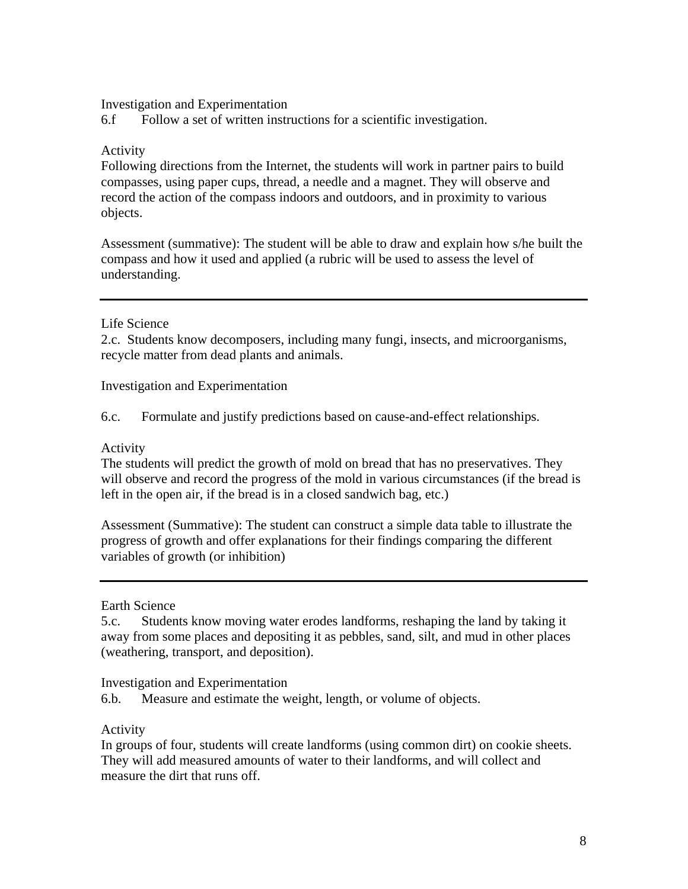#### Investigation and Experimentation

6.f Follow a set of written instructions for a scientific investigation.

#### Activity

Following directions from the Internet, the students will work in partner pairs to build compasses, using paper cups, thread, a needle and a magnet. They will observe and record the action of the compass indoors and outdoors, and in proximity to various objects.

Assessment (summative): The student will be able to draw and explain how s/he built the compass and how it used and applied (a rubric will be used to assess the level of understanding.

#### Life Science

2.c. Students know decomposers, including many fungi, insects, and microorganisms, recycle matter from dead plants and animals.

Investigation and Experimentation

6.c. Formulate and justify predictions based on cause-and-effect relationships.

#### Activity

The students will predict the growth of mold on bread that has no preservatives. They will observe and record the progress of the mold in various circumstances (if the bread is left in the open air, if the bread is in a closed sandwich bag, etc.)

Assessment (Summative): The student can construct a simple data table to illustrate the progress of growth and offer explanations for their findings comparing the different variables of growth (or inhibition)

Earth Science

5.c. Students know moving water erodes landforms, reshaping the land by taking it away from some places and depositing it as pebbles, sand, silt, and mud in other places (weathering, transport, and deposition).

Investigation and Experimentation

6.b. Measure and estimate the weight, length, or volume of objects.

Activity

In groups of four, students will create landforms (using common dirt) on cookie sheets. They will add measured amounts of water to their landforms, and will collect and measure the dirt that runs off.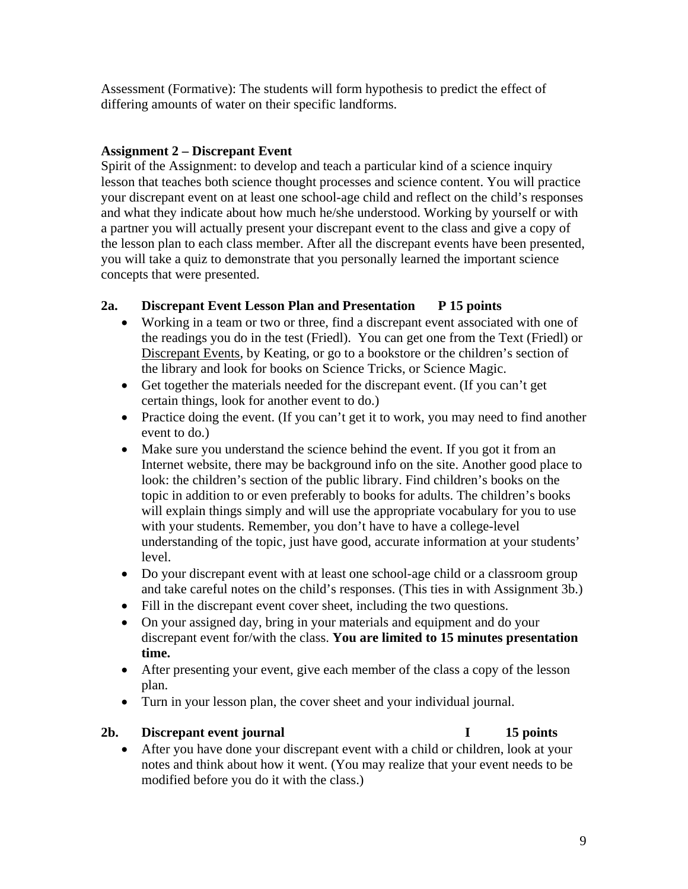Assessment (Formative): The students will form hypothesis to predict the effect of differing amounts of water on their specific landforms.

### **Assignment 2 – Discrepant Event**

Spirit of the Assignment: to develop and teach a particular kind of a science inquiry lesson that teaches both science thought processes and science content. You will practice your discrepant event on at least one school-age child and reflect on the child's responses and what they indicate about how much he/she understood. Working by yourself or with a partner you will actually present your discrepant event to the class and give a copy of the lesson plan to each class member. After all the discrepant events have been presented, you will take a quiz to demonstrate that you personally learned the important science concepts that were presented.

### **2a. Discrepant Event Lesson Plan and Presentation P 15 points**

- Working in a team or two or three, find a discrepant event associated with one of the readings you do in the test (Friedl). You can get one from the Text (Friedl) or Discrepant Events, by Keating, or go to a bookstore or the children's section of the library and look for books on Science Tricks, or Science Magic.
- Get together the materials needed for the discrepant event. (If you can't get certain things, look for another event to do.)
- Practice doing the event. (If you can't get it to work, you may need to find another event to do.)
- Make sure you understand the science behind the event. If you got it from an Internet website, there may be background info on the site. Another good place to look: the children's section of the public library. Find children's books on the topic in addition to or even preferably to books for adults. The children's books will explain things simply and will use the appropriate vocabulary for you to use with your students. Remember, you don't have to have a college-level understanding of the topic, just have good, accurate information at your students' level.
- Do your discrepant event with at least one school-age child or a classroom group and take careful notes on the child's responses. (This ties in with Assignment 3b.)
- Fill in the discrepant event cover sheet, including the two questions.
- On your assigned day, bring in your materials and equipment and do your discrepant event for/with the class. **You are limited to 15 minutes presentation time.**
- After presenting your event, give each member of the class a copy of the lesson plan.
- Turn in your lesson plan, the cover sheet and your individual journal.

#### 2b. Discrepant event journal **I** 15 points

• After you have done your discrepant event with a child or children, look at your notes and think about how it went. (You may realize that your event needs to be modified before you do it with the class.)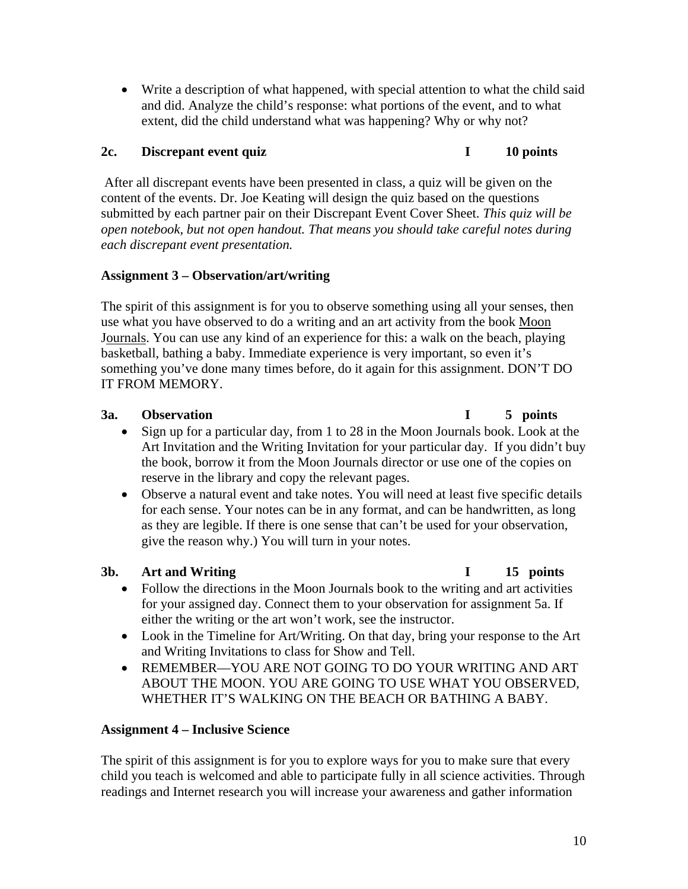• Write a description of what happened, with special attention to what the child said and did. Analyze the child's response: what portions of the event, and to what extent, did the child understand what was happening? Why or why not?

### **2c.** Discrepant event quiz **I** 10 points

 After all discrepant events have been presented in class, a quiz will be given on the content of the events. Dr. Joe Keating will design the quiz based on the questions submitted by each partner pair on their Discrepant Event Cover Sheet. *This quiz will be open notebook, but not open handout. That means you should take careful notes during each discrepant event presentation.* 

### **Assignment 3 – Observation/art/writing**

The spirit of this assignment is for you to observe something using all your senses, then use what you have observed to do a writing and an art activity from the book Moon Journals. You can use any kind of an experience for this: a walk on the beach, playing basketball, bathing a baby. Immediate experience is very important, so even it's something you've done many times before, do it again for this assignment. DON'T DO IT FROM MEMORY.

# **3a. Observation I 5 points**

- Sign up for a particular day, from 1 to 28 in the Moon Journals book. Look at the Art Invitation and the Writing Invitation for your particular day. If you didn't buy the book, borrow it from the Moon Journals director or use one of the copies on reserve in the library and copy the relevant pages.
- Observe a natural event and take notes. You will need at least five specific details for each sense. Your notes can be in any format, and can be handwritten, as long as they are legible. If there is one sense that can't be used for your observation, give the reason why.) You will turn in your notes.

# 3b. Art and Writing **I**

- Follow the directions in the Moon Journals book to the writing and art activities for your assigned day. Connect them to your observation for assignment 5a. If either the writing or the art won't work, see the instructor.
- Look in the Timeline for Art/Writing. On that day, bring your response to the Art and Writing Invitations to class for Show and Tell.
- • REMEMBER—YOU ARE NOT GOING TO DO YOUR WRITING AND ART ABOUT THE MOON. YOU ARE GOING TO USE WHAT YOU OBSERVED, WHETHER IT'S WALKING ON THE BEACH OR BATHING A BABY.

### **Assignment 4 – Inclusive Science**

The spirit of this assignment is for you to explore ways for you to make sure that every child you teach is welcomed and able to participate fully in all science activities. Through readings and Internet research you will increase your awareness and gather information

#### 10

## 15 points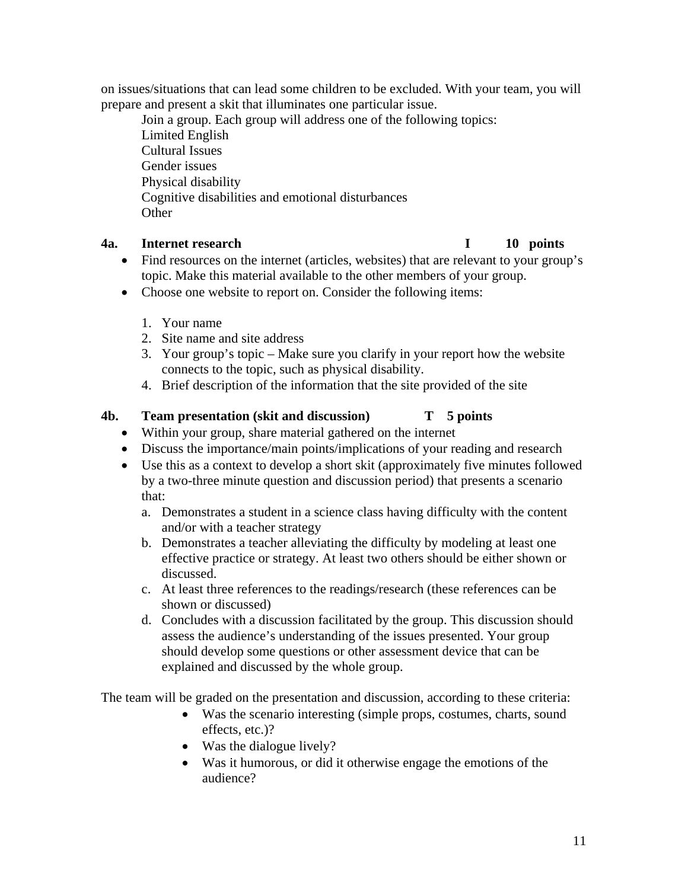on issues/situations that can lead some children to be excluded. With your team, you will prepare and present a skit that illuminates one particular issue.

Join a group. Each group will address one of the following topics: Limited English Cultural Issues Gender issues Physical disability Cognitive disabilities and emotional disturbances **Other** 

### **4a.** Internet research **I**

- Find resources on the internet (articles, websites) that are relevant to your group's topic. Make this material available to the other members of your group.
- Choose one website to report on. Consider the following items:
	- 1. Your name
	- 2. Site name and site address
	- 3. Your group's topic Make sure you clarify in your report how the website connects to the topic, such as physical disability.
	- 4. Brief description of the information that the site provided of the site

#### **T** 5 points **4b.** Team presentation (skit and discussion)

- Within your group, share material gathered on the internet
- Discuss the importance/main points/implications of your reading and research
- Use this as a context to develop a short skit (approximately five minutes followed by a two-three minute question and discussion period) that presents a scenario that:
	- a. Demonstrates a student in a science class having difficulty with the content and/or with a teacher strategy
	- b. Demonstrates a teacher alleviating the difficulty by modeling at least one effective practice or strategy. At least two others should be either shown or discussed.
	- c. At least three references to the readings/research (these references can be shown or discussed)
	- d. Concludes with a discussion facilitated by the group. This discussion should assess the audience's understanding of the issues presented. Your group should develop some questions or other assessment device that can be explained and discussed by the whole group.

The team will be graded on the presentation and discussion, according to these criteria:

- Was the scenario interesting (simple props, costumes, charts, sound effects, etc.)?
- Was the dialogue lively?
- Was it humorous, or did it otherwise engage the emotions of the audience?

# 10 points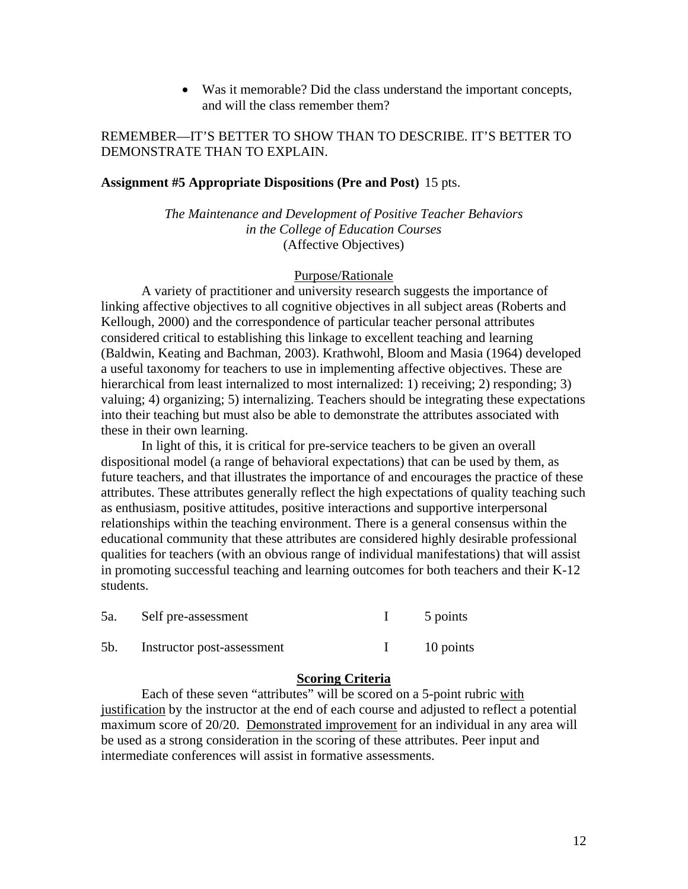• Was it memorable? Did the class understand the important concepts, and will the class remember them?

#### REMEMBER—IT'S BETTER TO SHOW THAN TO DESCRIBE. IT'S BETTER TO DEMONSTRATE THAN TO EXPLAIN.

#### **Assignment #5 Appropriate Dispositions (Pre and Post)** 15 pts.

*The Maintenance and Development of Positive Teacher Behaviors in the College of Education Courses*  (Affective Objectives)

#### Purpose/Rationale

A variety of practitioner and university research suggests the importance of linking affective objectives to all cognitive objectives in all subject areas (Roberts and Kellough, 2000) and the correspondence of particular teacher personal attributes considered critical to establishing this linkage to excellent teaching and learning (Baldwin, Keating and Bachman, 2003). Krathwohl, Bloom and Masia (1964) developed a useful taxonomy for teachers to use in implementing affective objectives. These are hierarchical from least internalized to most internalized: 1) receiving; 2) responding; 3) valuing; 4) organizing; 5) internalizing. Teachers should be integrating these expectations into their teaching but must also be able to demonstrate the attributes associated with these in their own learning.

In light of this, it is critical for pre-service teachers to be given an overall dispositional model (a range of behavioral expectations) that can be used by them, as future teachers, and that illustrates the importance of and encourages the practice of these attributes. These attributes generally reflect the high expectations of quality teaching such as enthusiasm, positive attitudes, positive interactions and supportive interpersonal relationships within the teaching environment. There is a general consensus within the educational community that these attributes are considered highly desirable professional qualities for teachers (with an obvious range of individual manifestations) that will assist in promoting successful teaching and learning outcomes for both teachers and their K-12 students.

| 5a. | Self pre-assessment        | 5 points  |  |
|-----|----------------------------|-----------|--|
| 5b. | Instructor post-assessment | 10 points |  |

#### **Scoring Criteria**

Each of these seven "attributes" will be scored on a 5-point rubric with justification by the instructor at the end of each course and adjusted to reflect a potential maximum score of 20/20. Demonstrated improvement for an individual in any area will be used as a strong consideration in the scoring of these attributes. Peer input and intermediate conferences will assist in formative assessments.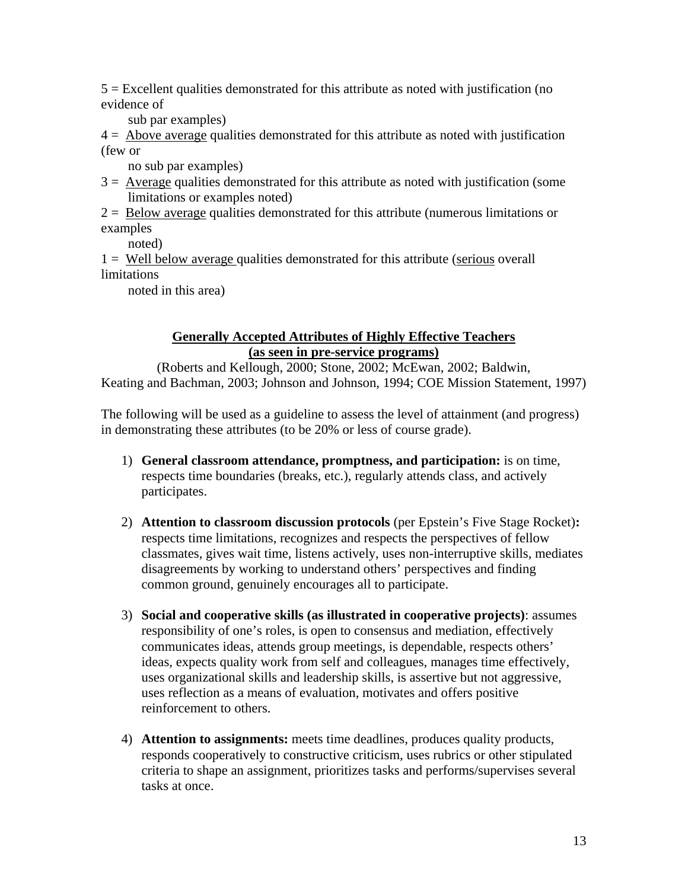5 = Excellent qualities demonstrated for this attribute as noted with justification (no evidence of

sub par examples)

 $4 =$  Above average qualities demonstrated for this attribute as noted with justification (few or

no sub par examples)

- $3 =$  Average qualities demonstrated for this attribute as noted with justification (some limitations or examples noted)
- $2 =$  Below average qualities demonstrated for this attribute (numerous limitations or examples

noted)

1 = Well below average qualities demonstrated for this attribute (serious overall limitations

noted in this area)

#### **Generally Accepted Attributes of Highly Effective Teachers (as seen in pre-service programs)**

(Roberts and Kellough, 2000; Stone, 2002; McEwan, 2002; Baldwin, Keating and Bachman, 2003; Johnson and Johnson, 1994; COE Mission Statement, 1997)

The following will be used as a guideline to assess the level of attainment (and progress) in demonstrating these attributes (to be 20% or less of course grade).

- 1) **General classroom attendance, promptness, and participation:** is on time, respects time boundaries (breaks, etc.), regularly attends class, and actively participates.
- 2) **Attention to classroom discussion protocols** (per Epstein's Five Stage Rocket)**:**  respects time limitations, recognizes and respects the perspectives of fellow classmates, gives wait time, listens actively, uses non-interruptive skills, mediates disagreements by working to understand others' perspectives and finding common ground, genuinely encourages all to participate.
- 3) **Social and cooperative skills (as illustrated in cooperative projects)**: assumes responsibility of one's roles, is open to consensus and mediation, effectively communicates ideas, attends group meetings, is dependable, respects others' ideas, expects quality work from self and colleagues, manages time effectively, uses organizational skills and leadership skills, is assertive but not aggressive, uses reflection as a means of evaluation, motivates and offers positive reinforcement to others.
- 4) **Attention to assignments:** meets time deadlines, produces quality products, responds cooperatively to constructive criticism, uses rubrics or other stipulated criteria to shape an assignment, prioritizes tasks and performs/supervises several tasks at once.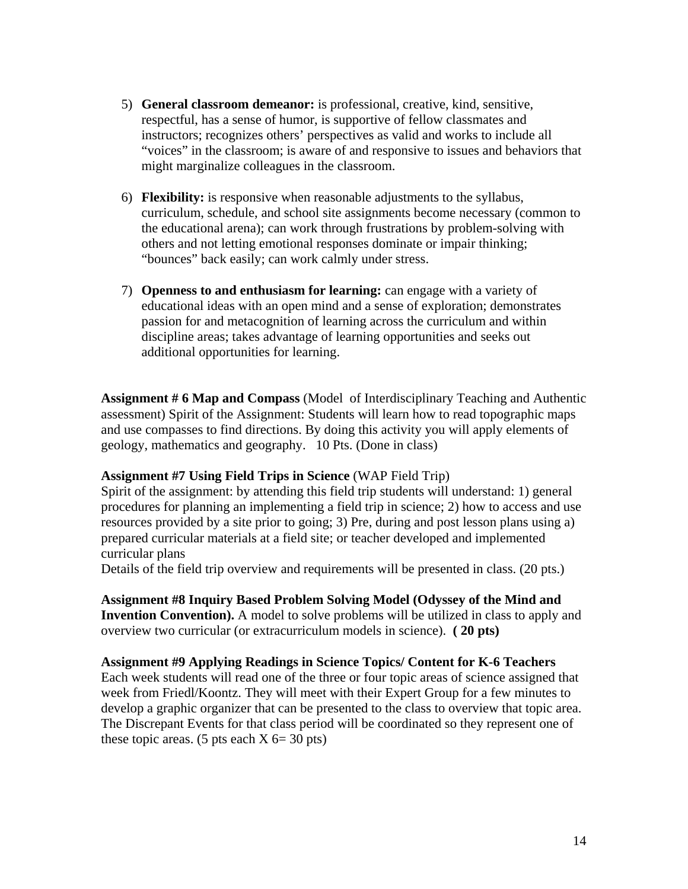- 5) **General classroom demeanor:** is professional, creative, kind, sensitive, respectful, has a sense of humor, is supportive of fellow classmates and instructors; recognizes others' perspectives as valid and works to include all "voices" in the classroom; is aware of and responsive to issues and behaviors that might marginalize colleagues in the classroom.
- 6) **Flexibility:** is responsive when reasonable adjustments to the syllabus, curriculum, schedule, and school site assignments become necessary (common to the educational arena); can work through frustrations by problem-solving with others and not letting emotional responses dominate or impair thinking; "bounces" back easily; can work calmly under stress.
- 7) **Openness to and enthusiasm for learning:** can engage with a variety of educational ideas with an open mind and a sense of exploration; demonstrates passion for and metacognition of learning across the curriculum and within discipline areas; takes advantage of learning opportunities and seeks out additional opportunities for learning.

**Assignment # 6 Map and Compass** (Model of Interdisciplinary Teaching and Authentic assessment) Spirit of the Assignment: Students will learn how to read topographic maps and use compasses to find directions. By doing this activity you will apply elements of geology, mathematics and geography. 10 Pts. (Done in class)

#### **Assignment #7 Using Field Trips in Science** (WAP Field Trip)

Spirit of the assignment: by attending this field trip students will understand: 1) general procedures for planning an implementing a field trip in science; 2) how to access and use resources provided by a site prior to going; 3) Pre, during and post lesson plans using a) prepared curricular materials at a field site; or teacher developed and implemented curricular plans

Details of the field trip overview and requirements will be presented in class. (20 pts.)

**Assignment #8 Inquiry Based Problem Solving Model (Odyssey of the Mind and Invention Convention).** A model to solve problems will be utilized in class to apply and overview two curricular (or extracurriculum models in science). **( 20 pts)** 

#### **Assignment #9 Applying Readings in Science Topics/ Content for K-6 Teachers**

Each week students will read one of the three or four topic areas of science assigned that week from Friedl/Koontz. They will meet with their Expert Group for a few minutes to develop a graphic organizer that can be presented to the class to overview that topic area. The Discrepant Events for that class period will be coordinated so they represent one of these topic areas. (5 pts each  $X$  6= 30 pts)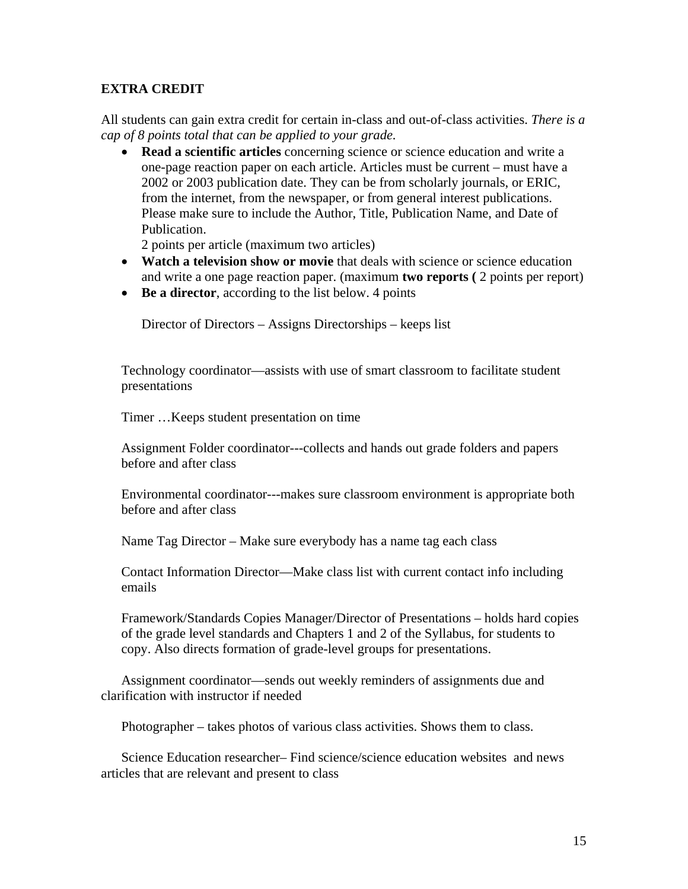#### **EXTRA CREDIT**

All students can gain extra credit for certain in-class and out-of-class activities. *There is a cap of 8 points total that can be applied to your grade.* 

• **Read a scientific articles** concerning science or science education and write a one-page reaction paper on each article. Articles must be current – must have a 2002 or 2003 publication date. They can be from scholarly journals, or ERIC, from the internet, from the newspaper, or from general interest publications. Please make sure to include the Author, Title, Publication Name, and Date of Publication.

2 points per article (maximum two articles)

- **Watch a television show or movie** that deals with science or science education and write a one page reaction paper. (maximum **two reports (** 2 points per report)
- **Be a director**, according to the list below. 4 points

Director of Directors – Assigns Directorships – keeps list

Technology coordinator—assists with use of smart classroom to facilitate student presentations

Timer …Keeps student presentation on time

Assignment Folder coordinator---collects and hands out grade folders and papers before and after class

Environmental coordinator---makes sure classroom environment is appropriate both before and after class

Name Tag Director – Make sure everybody has a name tag each class

Contact Information Director—Make class list with current contact info including emails

Framework/Standards Copies Manager/Director of Presentations – holds hard copies of the grade level standards and Chapters 1 and 2 of the Syllabus, for students to copy. Also directs formation of grade-level groups for presentations.

Assignment coordinator—sends out weekly reminders of assignments due and clarification with instructor if needed

Photographer – takes photos of various class activities. Shows them to class.

Science Education researcher– Find science/science education websites and news articles that are relevant and present to class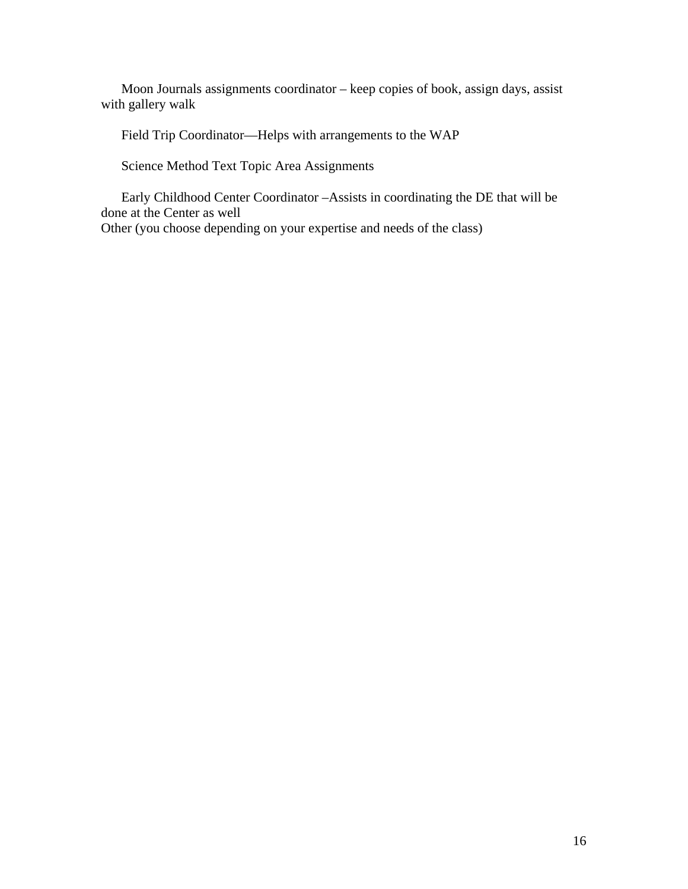Moon Journals assignments coordinator – keep copies of book, assign days, assist with gallery walk

Field Trip Coordinator—Helps with arrangements to the WAP

Science Method Text Topic Area Assignments

Early Childhood Center Coordinator –Assists in coordinating the DE that will be done at the Center as well

Other (you choose depending on your expertise and needs of the class)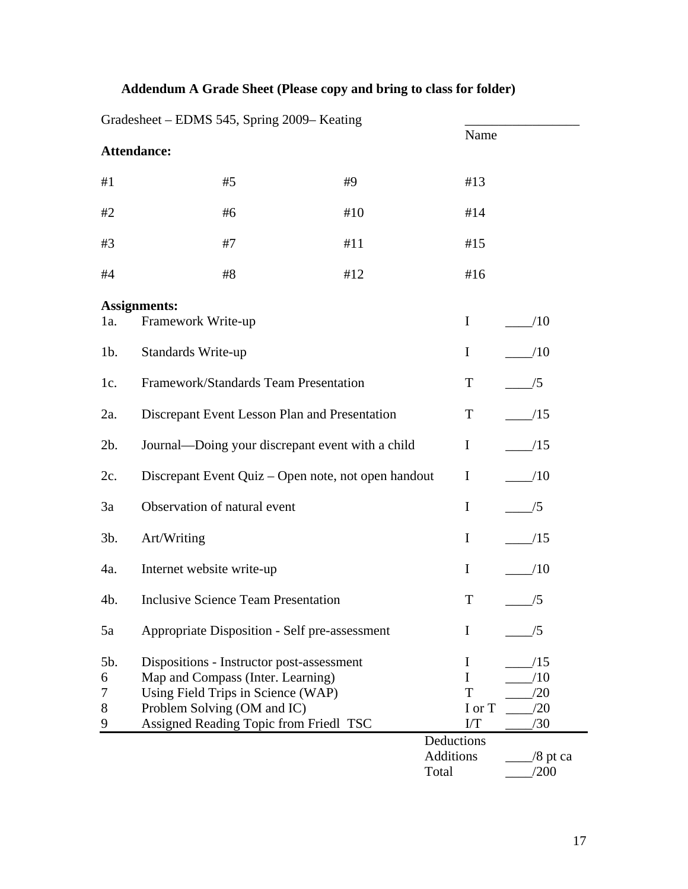# **Addendum A Grade Sheet (Please copy and bring to class for folder)**

|                         | Gradesheet – EDMS 545, Spring 2009– Keating                                                                                                                                                   |  |     |                                  |                                 |  |  |
|-------------------------|-----------------------------------------------------------------------------------------------------------------------------------------------------------------------------------------------|--|-----|----------------------------------|---------------------------------|--|--|
|                         |                                                                                                                                                                                               |  |     |                                  | Name                            |  |  |
|                         | Attendance:                                                                                                                                                                                   |  |     |                                  |                                 |  |  |
| #1                      | #5                                                                                                                                                                                            |  | #9  | #13                              |                                 |  |  |
| #2                      | #6                                                                                                                                                                                            |  | #10 | #14                              |                                 |  |  |
| #3                      | #7                                                                                                                                                                                            |  | #11 | #15                              |                                 |  |  |
| #4                      | #8                                                                                                                                                                                            |  | #12 | #16                              |                                 |  |  |
| 1a.                     | <b>Assignments:</b><br>Framework Write-up                                                                                                                                                     |  |     | $\bf{I}$                         | /10                             |  |  |
| $1b$ .                  | Standards Write-up                                                                                                                                                                            |  |     | $\bf{I}$                         | /10                             |  |  |
| 1c.                     | Framework/Standards Team Presentation                                                                                                                                                         |  |     | T                                | /5                              |  |  |
| 2a.                     | Discrepant Event Lesson Plan and Presentation                                                                                                                                                 |  |     | T                                | /15                             |  |  |
| $2b$ .                  | Journal—Doing your discrepant event with a child                                                                                                                                              |  |     | $\bf{I}$                         | /15                             |  |  |
| 2c.                     | Discrepant Event Quiz – Open note, not open handout                                                                                                                                           |  |     | $\bf{I}$                         | /10                             |  |  |
| 3a                      | Observation of natural event                                                                                                                                                                  |  |     | $\mathbf I$                      | /5                              |  |  |
| $3b$ .                  | Art/Writing                                                                                                                                                                                   |  |     | $\bf{I}$                         | /15                             |  |  |
| 4a.                     | Internet website write-up                                                                                                                                                                     |  |     | $\bf{I}$                         | /10                             |  |  |
| 4b.                     | <b>Inclusive Science Team Presentation</b>                                                                                                                                                    |  |     | T                                | /5                              |  |  |
| 5a                      | Appropriate Disposition - Self pre-assessment                                                                                                                                                 |  |     | I                                | /5                              |  |  |
| 5b.<br>6<br>7<br>8<br>9 | Dispositions - Instructor post-assessment<br>Map and Compass (Inter. Learning)<br>Using Field Trips in Science (WAP)<br>Problem Solving (OM and IC)<br>Assigned Reading Topic from Friedl TSC |  |     | I<br>I<br>T<br>I or T<br>I/T     | /15<br>/10<br>/20<br>/20<br>/30 |  |  |
|                         |                                                                                                                                                                                               |  |     | Deductions<br>Additions<br>Total | $/8$ pt ca<br>/200              |  |  |

 $G_{\text{reducible}}$  EDMS 545, Spring 2000– Keating